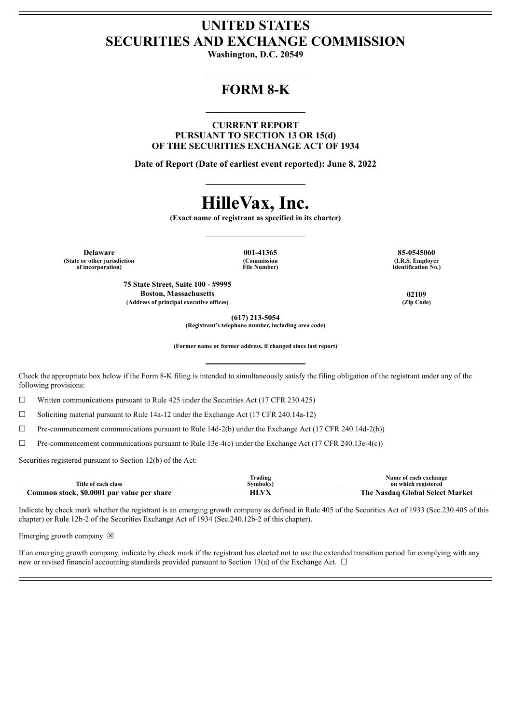# **UNITED STATES SECURITIES AND EXCHANGE COMMISSION**

**Washington, D.C. 20549**

# **FORM 8-K**

**CURRENT REPORT PURSUANT TO SECTION 13 OR 15(d) OF THE SECURITIES EXCHANGE ACT OF 1934**

**Date of Report (Date of earliest event reported): June 8, 2022**

# **HilleVax, Inc.**

**(Exact name of registrant as specified in its charter)**

**Delaware 001-41365 85-0545060 (State or other jurisdiction of incorporation)**

**(Commission File Number)**

**(I.R.S. Employer Identification No.)**

**75 State Street, Suite 100 - #9995 Boston, Massachusetts 02109 (Address of principal executive offices) (Zip Code)**

**(617) 213-5054**

**(Registrant's telephone number, including area code)**

**(Former name or former address, if changed since last report)**

Check the appropriate box below if the Form 8-K filing is intended to simultaneously satisfy the filing obligation of the registrant under any of the following provisions:

☐ Written communications pursuant to Rule 425 under the Securities Act (17 CFR 230.425)

☐ Soliciting material pursuant to Rule 14a-12 under the Exchange Act (17 CFR 240.14a-12)

 $\Box$  Pre-commencement communications pursuant to Rule 14d-2(b) under the Exchange Act (17 CFR 240.14d-2(b))

☐ Pre-commencement communications pursuant to Rule 13e-4(c) under the Exchange Act (17 CFR 240.13e-4(c))

Securities registered pursuant to Section 12(b) of the Act:

|                                            | Trading   | Name of each exchange           |
|--------------------------------------------|-----------|---------------------------------|
| Title of each class                        | Svmbol(s) | on which registered             |
| Common stock, \$0.0001 par value per share | HLVX      | The Nasdag Global Select Market |

Indicate by check mark whether the registrant is an emerging growth company as defined in Rule 405 of the Securities Act of 1933 (Sec.230.405 of this chapter) or Rule 12b-2 of the Securities Exchange Act of 1934 (Sec.240.12b-2 of this chapter).

Emerging growth company  $\boxtimes$ 

If an emerging growth company, indicate by check mark if the registrant has elected not to use the extended transition period for complying with any new or revised financial accounting standards provided pursuant to Section 13(a) of the Exchange Act.  $\Box$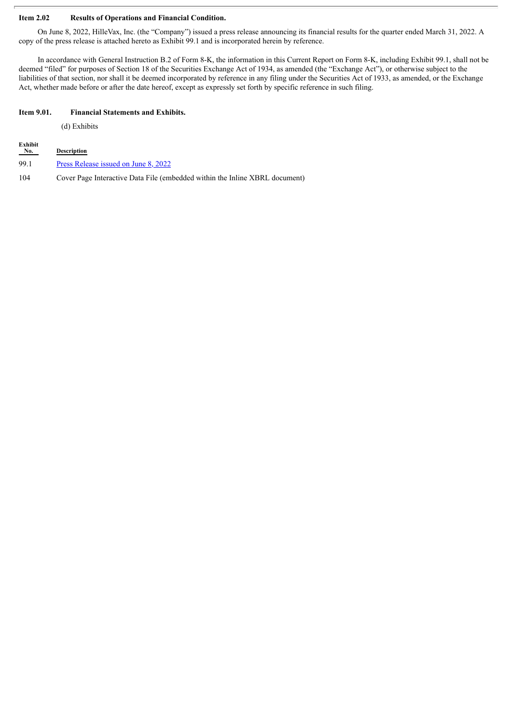# **Item 2.02 Results of Operations and Financial Condition.**

On June 8, 2022, HilleVax, Inc. (the "Company") issued a press release announcing its financial results for the quarter ended March 31, 2022. A copy of the press release is attached hereto as Exhibit 99.1 and is incorporated herein by reference.

In accordance with General Instruction B.2 of Form 8-K, the information in this Current Report on Form 8-K, including Exhibit 99.1, shall not be deemed "filed" for purposes of Section 18 of the Securities Exchange Act of 1934, as amended (the "Exchange Act"), or otherwise subject to the liabilities of that section, nor shall it be deemed incorporated by reference in any filing under the Securities Act of 1933, as amended, or the Exchange Act, whether made before or after the date hereof, except as expressly set forth by specific reference in such filing.

### **Item 9.01. Financial Statements and Exhibits.**

(d) Exhibits

| Exhibit<br>$N_{0.}$ | <b>Description</b>                                                          |
|---------------------|-----------------------------------------------------------------------------|
| 99.1                | Press Release issued on June 8, 2022                                        |
| 104                 | Cover Page Interactive Data File (embedded within the Inline XBRL document) |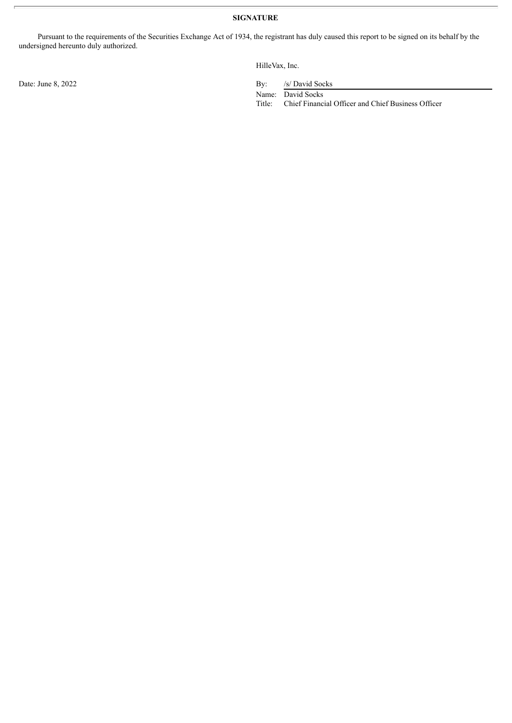Pursuant to the requirements of the Securities Exchange Act of 1934, the registrant has duly caused this report to be signed on its behalf by the undersigned hereunto duly authorized.

HilleVax, Inc.

Date: June 8, 2022 By: /s/ David Socks

Name: David Socks

Title: Chief Financial Officer and Chief Business Officer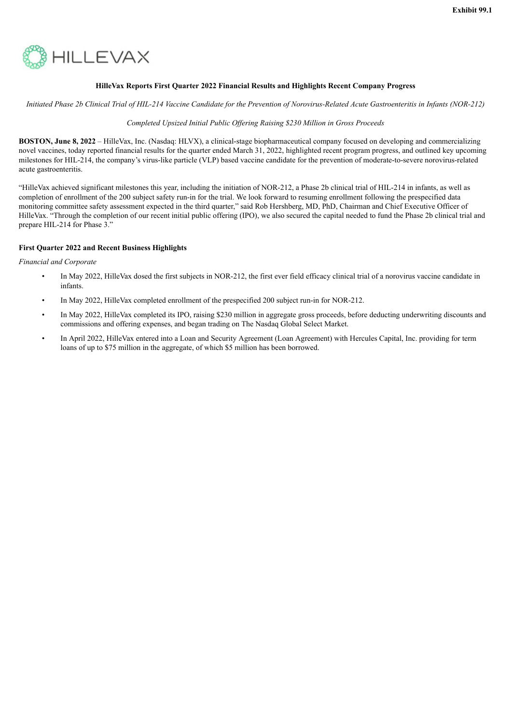<span id="page-3-0"></span>

# **HilleVax Reports First Quarter 2022 Financial Results and Highlights Recent Company Progress**

Initiated Phase 2b Clinical Trial of HIL-214 Vaccine Candidate for the Prevention of Norovirus-Related Acute Gastroenteritis in Infants (NOR-212)

#### *Completed Upsized Initial Public Of ering Raising \$230 Million in Gross Proceeds*

**BOSTON, June 8, 2022** – HilleVax, Inc. (Nasdaq: HLVX), a clinical-stage biopharmaceutical company focused on developing and commercializing novel vaccines, today reported financial results for the quarter ended March 31, 2022, highlighted recent program progress, and outlined key upcoming milestones for HIL-214, the company's virus-like particle (VLP) based vaccine candidate for the prevention of moderate-to-severe norovirus-related acute gastroenteritis.

"HilleVax achieved significant milestones this year, including the initiation of NOR-212, a Phase 2b clinical trial of HIL-214 in infants, as well as completion of enrollment of the 200 subject safety run-in for the trial. We look forward to resuming enrollment following the prespecified data monitoring committee safety assessment expected in the third quarter," said Rob Hershberg, MD, PhD, Chairman and Chief Executive Officer of HilleVax. "Through the completion of our recent initial public offering (IPO), we also secured the capital needed to fund the Phase 2b clinical trial and prepare HIL-214 for Phase 3."

# **First Quarter 2022 and Recent Business Highlights**

#### *Financial and Corporate*

- In May 2022, HilleVax dosed the first subjects in NOR-212, the first ever field efficacy clinical trial of a norovirus vaccine candidate in infants.
- In May 2022, HilleVax completed enrollment of the prespecified 200 subject run-in for NOR-212.
- In May 2022, HilleVax completed its IPO, raising \$230 million in aggregate gross proceeds, before deducting underwriting discounts and commissions and offering expenses, and began trading on The Nasdaq Global Select Market.
- In April 2022, HilleVax entered into a Loan and Security Agreement (Loan Agreement) with Hercules Capital, Inc. providing for term loans of up to \$75 million in the aggregate, of which \$5 million has been borrowed.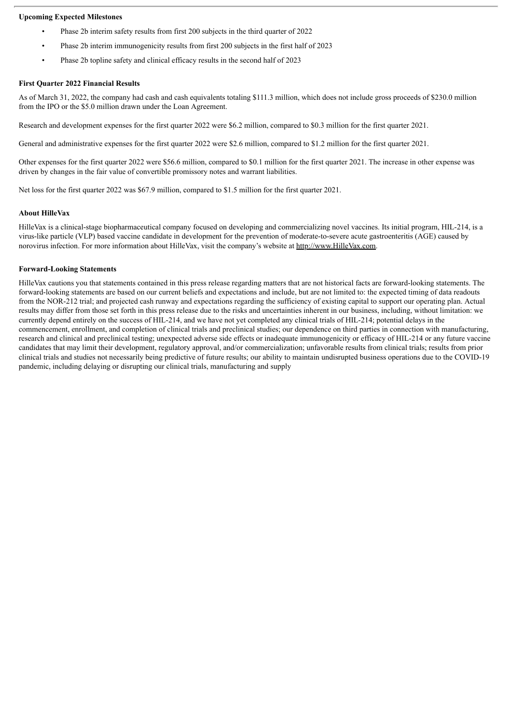#### **Upcoming Expected Milestones**

- Phase 2b interim safety results from first 200 subjects in the third quarter of 2022
- Phase 2b interim immunogenicity results from first 200 subjects in the first half of 2023
- Phase 2b topline safety and clinical efficacy results in the second half of 2023

#### **First Quarter 2022 Financial Results**

As of March 31, 2022, the company had cash and cash equivalents totaling \$111.3 million, which does not include gross proceeds of \$230.0 million from the IPO or the \$5.0 million drawn under the Loan Agreement.

Research and development expenses for the first quarter 2022 were \$6.2 million, compared to \$0.3 million for the first quarter 2021.

General and administrative expenses for the first quarter 2022 were \$2.6 million, compared to \$1.2 million for the first quarter 2021.

Other expenses for the first quarter 2022 were \$56.6 million, compared to \$0.1 million for the first quarter 2021. The increase in other expense was driven by changes in the fair value of convertible promissory notes and warrant liabilities.

Net loss for the first quarter 2022 was \$67.9 million, compared to \$1.5 million for the first quarter 2021.

#### **About HilleVax**

HilleVax is a clinical-stage biopharmaceutical company focused on developing and commercializing novel vaccines. Its initial program, HIL-214, is a virus-like particle (VLP) based vaccine candidate in development for the prevention of moderate-to-severe acute gastroenteritis (AGE) caused by norovirus infection. For more information about HilleVax, visit the company's website at http://www.HilleVax.com.

# **Forward-Looking Statements**

HilleVax cautions you that statements contained in this press release regarding matters that are not historical facts are forward-looking statements. The forward-looking statements are based on our current beliefs and expectations and include, but are not limited to: the expected timing of data readouts from the NOR-212 trial; and projected cash runway and expectations regarding the sufficiency of existing capital to support our operating plan. Actual results may differ from those set forth in this press release due to the risks and uncertainties inherent in our business, including, without limitation: we currently depend entirely on the success of HIL-214, and we have not yet completed any clinical trials of HIL-214; potential delays in the commencement, enrollment, and completion of clinical trials and preclinical studies; our dependence on third parties in connection with manufacturing, research and clinical and preclinical testing; unexpected adverse side effects or inadequate immunogenicity or efficacy of HIL-214 or any future vaccine candidates that may limit their development, regulatory approval, and/or commercialization; unfavorable results from clinical trials; results from prior clinical trials and studies not necessarily being predictive of future results; our ability to maintain undisrupted business operations due to the COVID-19 pandemic, including delaying or disrupting our clinical trials, manufacturing and supply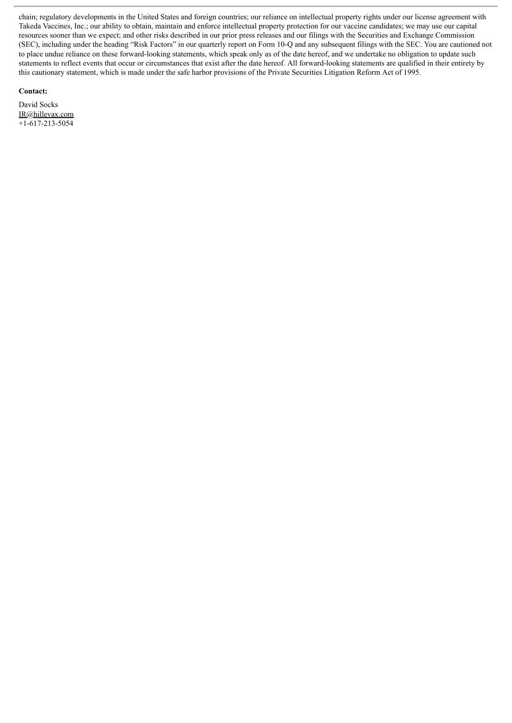chain; regulatory developments in the United States and foreign countries; our reliance on intellectual property rights under our license agreement with Takeda Vaccines, Inc.; our ability to obtain, maintain and enforce intellectual property protection for our vaccine candidates; we may use our capital resources sooner than we expect; and other risks described in our prior press releases and our filings with the Securities and Exchange Commission (SEC), including under the heading "Risk Factors" in our quarterly report on Form 10-Q and any subsequent filings with the SEC. You are cautioned not to place undue reliance on these forward-looking statements, which speak only as of the date hereof, and we undertake no obligation to update such statements to reflect events that occur or circumstances that exist after the date hereof. All forward-looking statements are qualified in their entirety by this cautionary statement, which is made under the safe harbor provisions of the Private Securities Litigation Reform Act of 1995.

### **Contact:**

David Socks IR@hillevax.com +1-617-213-5054